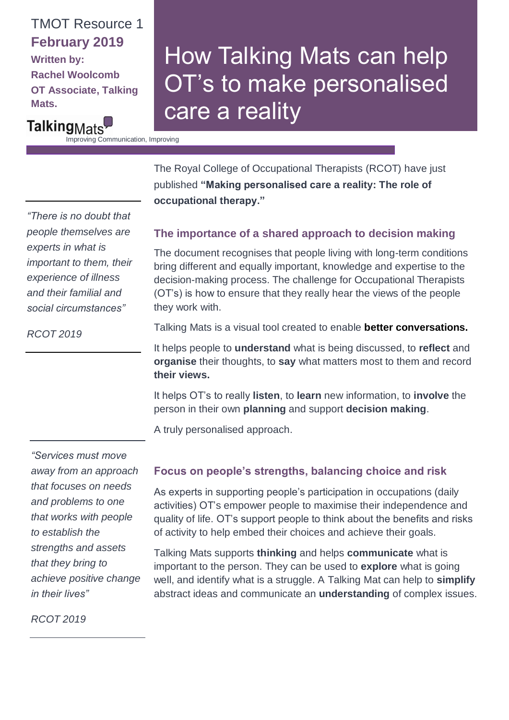## TMOT Resource 1 **February 2019**

**Written by: Rachel Woolcomb OT Associate, Talking Mats.**

# How Talking Mats can help OT's to make personalised care a reality

Talking<sub>Mats</sub> Improving Communication, Improving

Lives

The Royal College of Occupational Therapists (RCOT) have just published **"Making personalised care a reality: The role of occupational therapy."** 

### *"There is no doubt that people themselves are experts in what is important to them, their experience of illness and their familial and social circumstances"*

#### **The importance of a shared approach to decision making**

The document recognises that people living with long-term conditions bring different and equally important, knowledge and expertise to the decision-making process. The challenge for Occupational Therapists (OT's) is how to ensure that they really hear the views of the people they work with.

Talking Mats is a visual tool created to enable **better conversations.**

It helps people to **understand** what is being discussed, to **reflect** and **organise** their thoughts, to **say** what matters most to them and record **their views.**

It helps OT's to really **listen**, to **learn** new information, to **involve** the person in their own **planning** and support **decision making**.

A truly personalised approach.

*"Services must move away from an approach that focuses on needs and problems to one that works with people to establish the strengths and assets that they bring to achieve positive change in their lives"*

#### **Focus on people's strengths, balancing choice and risk**

As experts in supporting people's participation in occupations (daily activities) OT's empower people to maximise their independence and quality of life. OT's support people to think about the benefits and risks of activity to help embed their choices and achieve their goals.

Talking Mats supports **thinking** and helps **communicate** what is important to the person. They can be used to **explore** what is going well, and identify what is a struggle. A Talking Mat can help to **simplify**  abstract ideas and communicate an **understanding** of complex issues.

*RCOT 2019*

*RCOT 2019*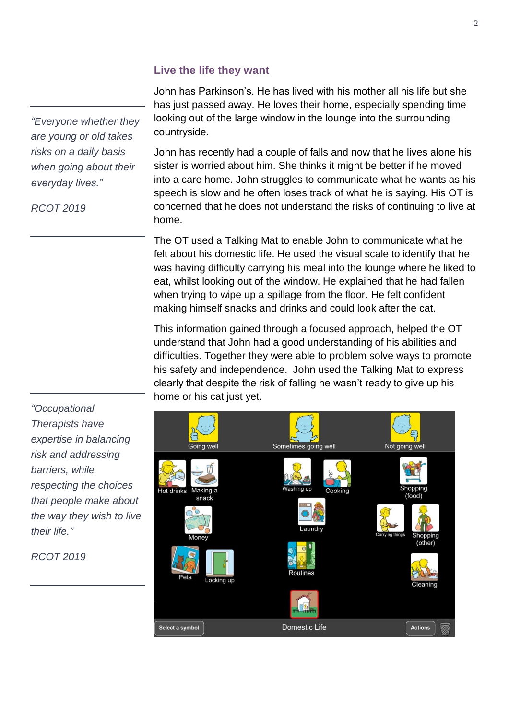#### **Live the life they want**

John has Parkinson's. He has lived with his mother all his life but she has just passed away. He loves their home, especially spending time looking out of the large window in the lounge into the surrounding countryside.

John has recently had a couple of falls and now that he lives alone his sister is worried about him. She thinks it might be better if he moved into a care home. John struggles to communicate what he wants as his speech is slow and he often loses track of what he is saying. His OT is concerned that he does not understand the risks of continuing to live at home.

The OT used a Talking Mat to enable John to communicate what he felt about his domestic life. He used the visual scale to identify that he was having difficulty carrying his meal into the lounge where he liked to eat, whilst looking out of the window. He explained that he had fallen when trying to wipe up a spillage from the floor. He felt confident making himself snacks and drinks and could look after the cat.

This information gained through a focused approach, helped the OT understand that John had a good understanding of his abilities and difficulties. Together they were able to problem solve ways to promote his safety and independence. John used the Talking Mat to express clearly that despite the risk of falling he wasn't ready to give up his home or his cat just yet.



*"Everyone whether they are young or old takes risks on a daily basis when going about their everyday lives."*

*RCOT 2019*

*"Occupational Therapists have expertise in balancing risk and addressing barriers, while respecting the choices that people make about the way they wish to live their life."*

*RCOT 2019*